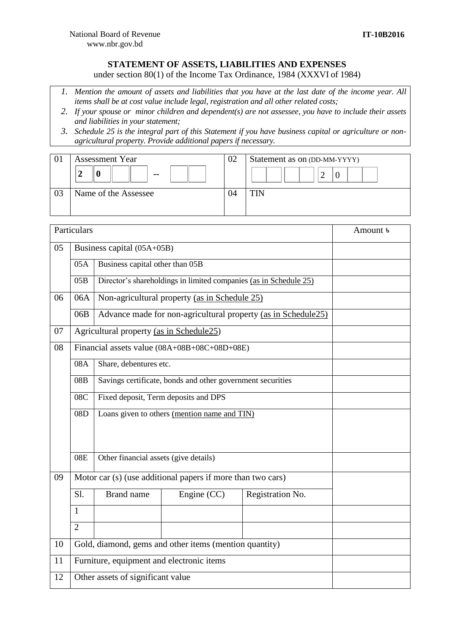## **STATEMENT OF ASSETS, LIABILITIES AND EXPENSES**

under section 80(1) of the Income Tax Ordinance, 1984 (XXXVI of 1984)

- *1. Mention the amount of assets and liabilities that you have at the last date of the income year. All items shall be at cost value include legal, registration and all other related costs;*
- *2. If your spouse or minor children and dependent(s) are not assessee, you have to include their assets and liabilities in your statement;*
- *3. Schedule 25 is the integral part of this Statement if you have business capital or agriculture or nonagricultural property. Provide additional papers if necessary.*

| UΙ | <b>Assessment Year</b> | 02 | Statement as on (DD-MM-YYYY) |
|----|------------------------|----|------------------------------|
|    | σ<br>$- -$             |    | ∸                            |
| 03 | Name of the Assessee   | 94 | <b>TIN</b>                   |

|    | Particulars                                                       |                                                                   |                                               | Amount <b>b</b>  |  |
|----|-------------------------------------------------------------------|-------------------------------------------------------------------|-----------------------------------------------|------------------|--|
| 05 |                                                                   | Business capital (05A+05B)                                        |                                               |                  |  |
|    | 05A                                                               |                                                                   | Business capital other than 05B               |                  |  |
|    | 05B                                                               | Director's shareholdings in limited companies (as in Schedule 25) |                                               |                  |  |
| 06 | 06A                                                               |                                                                   | Non-agricultural property (as in Schedule 25) |                  |  |
|    | 06B                                                               | Advance made for non-agricultural property (as in Schedule25)     |                                               |                  |  |
| 07 |                                                                   | Agricultural property (as in Schedule25)                          |                                               |                  |  |
| 08 |                                                                   |                                                                   | Financial assets value (08A+08B+08C+08D+08E)  |                  |  |
|    | 08A                                                               | Share, debentures etc.                                            |                                               |                  |  |
|    | Savings certificate, bonds and other government securities<br>08B |                                                                   |                                               |                  |  |
|    | 08C                                                               | Fixed deposit, Term deposits and DPS                              |                                               |                  |  |
|    | 08D                                                               | Loans given to others (mention name and TIN)                      |                                               |                  |  |
|    |                                                                   |                                                                   |                                               |                  |  |
|    | 08E                                                               | Other financial assets (give details)                             |                                               |                  |  |
| 09 |                                                                   | Motor car (s) (use additional papers if more than two cars)       |                                               |                  |  |
|    | Sl.                                                               | <b>Brand name</b>                                                 | Engine (CC)                                   | Registration No. |  |
|    | 1                                                                 |                                                                   |                                               |                  |  |
|    | $\overline{2}$                                                    |                                                                   |                                               |                  |  |
| 10 |                                                                   | Gold, diamond, gems and other items (mention quantity)            |                                               |                  |  |
| 11 |                                                                   | Furniture, equipment and electronic items                         |                                               |                  |  |
| 12 | Other assets of significant value                                 |                                                                   |                                               |                  |  |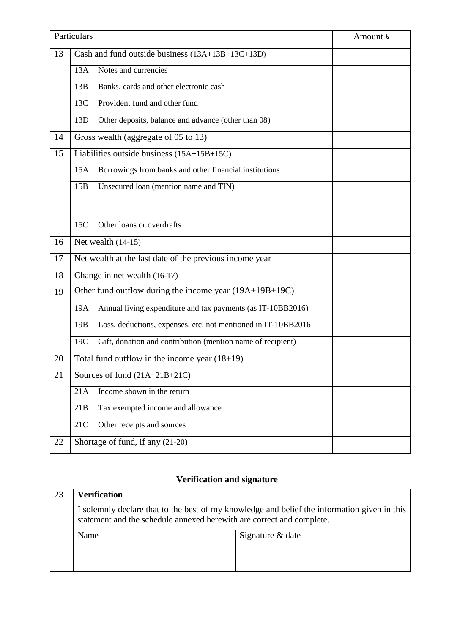|    | Particulars                                               |                                                               | Amount <b>b</b> |  |
|----|-----------------------------------------------------------|---------------------------------------------------------------|-----------------|--|
| 13 |                                                           | Cash and fund outside business (13A+13B+13C+13D)              |                 |  |
|    | 13A                                                       | Notes and currencies                                          |                 |  |
|    | 13B                                                       | Banks, cards and other electronic cash                        |                 |  |
|    | 13C                                                       | Provident fund and other fund                                 |                 |  |
|    | 13D                                                       | Other deposits, balance and advance (other than 08)           |                 |  |
| 14 |                                                           | Gross wealth (aggregate of 05 to 13)                          |                 |  |
| 15 |                                                           | Liabilities outside business (15A+15B+15C)                    |                 |  |
|    | 15A                                                       | Borrowings from banks and other financial institutions        |                 |  |
|    | 15B                                                       | Unsecured Ioan (mention name and TIN)                         |                 |  |
|    |                                                           |                                                               |                 |  |
|    | 15C                                                       | Other loans or overdrafts                                     |                 |  |
| 16 | Net wealth $(14-15)$                                      |                                                               |                 |  |
| 17 | Net wealth at the last date of the previous income year   |                                                               |                 |  |
| 18 | Change in net wealth (16-17)                              |                                                               |                 |  |
| 19 | Other fund outflow during the income year $(19A+19B+19C)$ |                                                               |                 |  |
|    | 19A                                                       | Annual living expenditure and tax payments (as IT-10BB2016)   |                 |  |
|    | 19 <sub>B</sub>                                           | Loss, deductions, expenses, etc. not mentioned in IT-10BB2016 |                 |  |
|    | 19C                                                       | Gift, donation and contribution (mention name of recipient)   |                 |  |
| 20 | Total fund outflow in the income year $(18+19)$           |                                                               |                 |  |
| 21 | Sources of fund $(21A+21B+21C)$                           |                                                               |                 |  |
|    | 21A                                                       | Income shown in the return                                    |                 |  |
|    | 21B                                                       | Tax exempted income and allowance                             |                 |  |
|    | 21C                                                       | Other receipts and sources                                    |                 |  |
| 22 | Shortage of fund, if any (21-20)                          |                                                               |                 |  |

## **Verification and signature**

| 23 | <b>Verification</b>                                                                                                                                                   |                  |  |
|----|-----------------------------------------------------------------------------------------------------------------------------------------------------------------------|------------------|--|
|    | I solemnly declare that to the best of my knowledge and belief the information given in this<br>statement and the schedule annexed herewith are correct and complete. |                  |  |
|    | Name                                                                                                                                                                  | Signature & date |  |